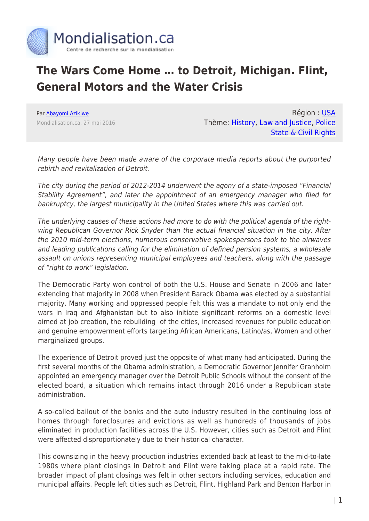

## **The Wars Come Home … to Detroit, Michigan. Flint, General Motors and the Water Crisis**

Par [Abayomi Azikiwe](https://www.mondialisation.ca/author/abayomi-azikiwe) Mondialisation.ca, 27 mai 2016

Région : [USA](https://www.mondialisation.ca/region/usa) Thème: [History,](https://www.mondialisation.ca/theme/culture-society-history) [Law and Justice,](https://www.mondialisation.ca/theme/law-and-justice) [Police](https://www.mondialisation.ca/theme/police-state-civil-rights) [State & Civil Rights](https://www.mondialisation.ca/theme/police-state-civil-rights)

Many people have been made aware of the corporate media reports about the purported rebirth and revitalization of Detroit.

The city during the period of 2012-2014 underwent the agony of a state-imposed "Financial Stability Agreement", and later the appointment of an emergency manager who filed for bankruptcy, the largest municipality in the United States where this was carried out.

The underlying causes of these actions had more to do with the political agenda of the rightwing Republican Governor Rick Snyder than the actual financial situation in the city. After the 2010 mid-term elections, numerous conservative spokespersons took to the airwaves and leading publications calling for the elimination of defined pension systems, a wholesale assault on unions representing municipal employees and teachers, along with the passage of "right to work" legislation.

The Democratic Party won control of both the U.S. House and Senate in 2006 and later extending that majority in 2008 when President Barack Obama was elected by a substantial majority. Many working and oppressed people felt this was a mandate to not only end the wars in Iraq and Afghanistan but to also initiate significant reforms on a domestic level aimed at job creation, the rebuilding of the cities, increased revenues for public education and genuine empowerment efforts targeting African Americans, Latino/as, Women and other marginalized groups.

The experience of Detroit proved just the opposite of what many had anticipated. During the first several months of the Obama administration, a Democratic Governor Jennifer Granholm appointed an emergency manager over the Detroit Public Schools without the consent of the elected board, a situation which remains intact through 2016 under a Republican state administration.

A so-called bailout of the banks and the auto industry resulted in the continuing loss of homes through foreclosures and evictions as well as hundreds of thousands of jobs eliminated in production facilities across the U.S. However, cities such as Detroit and Flint were affected disproportionately due to their historical character.

This downsizing in the heavy production industries extended back at least to the mid-to-late 1980s where plant closings in Detroit and Flint were taking place at a rapid rate. The broader impact of plant closings was felt in other sectors including services, education and municipal affairs. People left cities such as Detroit, Flint, Highland Park and Benton Harbor in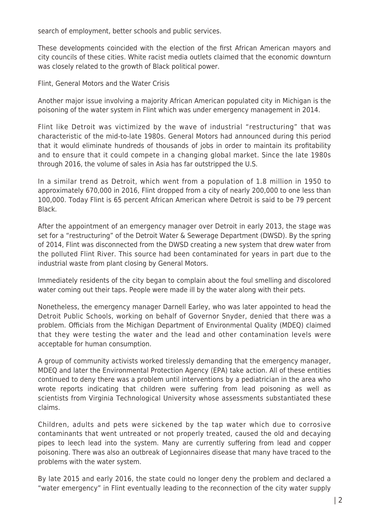search of employment, better schools and public services.

These developments coincided with the election of the first African American mayors and city councils of these cities. White racist media outlets claimed that the economic downturn was closely related to the growth of Black political power.

Flint, General Motors and the Water Crisis

Another major issue involving a majority African American populated city in Michigan is the poisoning of the water system in Flint which was under emergency management in 2014.

Flint like Detroit was victimized by the wave of industrial "restructuring" that was characteristic of the mid-to-late 1980s. General Motors had announced during this period that it would eliminate hundreds of thousands of jobs in order to maintain its profitability and to ensure that it could compete in a changing global market. Since the late 1980s through 2016, the volume of sales in Asia has far outstripped the U.S.

In a similar trend as Detroit, which went from a population of 1.8 million in 1950 to approximately 670,000 in 2016, Flint dropped from a city of nearly 200,000 to one less than 100,000. Today Flint is 65 percent African American where Detroit is said to be 79 percent Black.

After the appointment of an emergency manager over Detroit in early 2013, the stage was set for a "restructuring" of the Detroit Water & Sewerage Department (DWSD). By the spring of 2014, Flint was disconnected from the DWSD creating a new system that drew water from the polluted Flint River. This source had been contaminated for years in part due to the industrial waste from plant closing by General Motors.

Immediately residents of the city began to complain about the foul smelling and discolored water coming out their taps. People were made ill by the water along with their pets.

Nonetheless, the emergency manager Darnell Earley, who was later appointed to head the Detroit Public Schools, working on behalf of Governor Snyder, denied that there was a problem. Officials from the Michigan Department of Environmental Quality (MDEQ) claimed that they were testing the water and the lead and other contamination levels were acceptable for human consumption.

A group of community activists worked tirelessly demanding that the emergency manager, MDEQ and later the Environmental Protection Agency (EPA) take action. All of these entities continued to deny there was a problem until interventions by a pediatrician in the area who wrote reports indicating that children were suffering from lead poisoning as well as scientists from Virginia Technological University whose assessments substantiated these claims.

Children, adults and pets were sickened by the tap water which due to corrosive contaminants that went untreated or not properly treated, caused the old and decaying pipes to leech lead into the system. Many are currently suffering from lead and copper poisoning. There was also an outbreak of Legionnaires disease that many have traced to the problems with the water system.

By late 2015 and early 2016, the state could no longer deny the problem and declared a "water emergency" in Flint eventually leading to the reconnection of the city water supply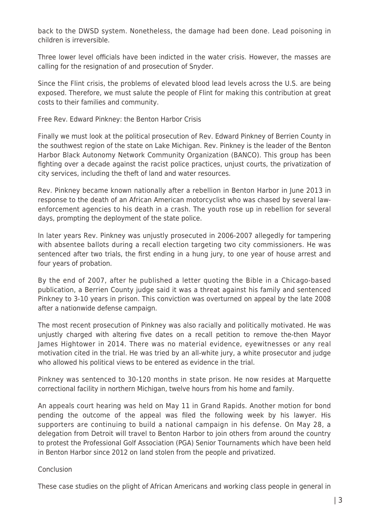back to the DWSD system. Nonetheless, the damage had been done. Lead poisoning in children is irreversible.

Three lower level officials have been indicted in the water crisis. However, the masses are calling for the resignation of and prosecution of Snyder.

Since the Flint crisis, the problems of elevated blood lead levels across the U.S. are being exposed. Therefore, we must salute the people of Flint for making this contribution at great costs to their families and community.

Free Rev. Edward Pinkney: the Benton Harbor Crisis

Finally we must look at the political prosecution of Rev. Edward Pinkney of Berrien County in the southwest region of the state on Lake Michigan. Rev. Pinkney is the leader of the Benton Harbor Black Autonomy Network Community Organization (BANCO). This group has been fighting over a decade against the racist police practices, unjust courts, the privatization of city services, including the theft of land and water resources.

Rev. Pinkney became known nationally after a rebellion in Benton Harbor in June 2013 in response to the death of an African American motorcyclist who was chased by several lawenforcement agencies to his death in a crash. The youth rose up in rebellion for several days, prompting the deployment of the state police.

In later years Rev. Pinkney was unjustly prosecuted in 2006-2007 allegedly for tampering with absentee ballots during a recall election targeting two city commissioners. He was sentenced after two trials, the first ending in a hung jury, to one year of house arrest and four years of probation.

By the end of 2007, after he published a letter quoting the Bible in a Chicago-based publication, a Berrien County judge said it was a threat against his family and sentenced Pinkney to 3-10 years in prison. This conviction was overturned on appeal by the late 2008 after a nationwide defense campaign.

The most recent prosecution of Pinkney was also racially and politically motivated. He was unjustly charged with altering five dates on a recall petition to remove the-then Mayor James Hightower in 2014. There was no material evidence, eyewitnesses or any real motivation cited in the trial. He was tried by an all-white jury, a white prosecutor and judge who allowed his political views to be entered as evidence in the trial.

Pinkney was sentenced to 30-120 months in state prison. He now resides at Marquette correctional facility in northern Michigan, twelve hours from his home and family.

An appeals court hearing was held on May 11 in Grand Rapids. Another motion for bond pending the outcome of the appeal was filed the following week by his lawyer. His supporters are continuing to build a national campaign in his defense. On May 28, a delegation from Detroit will travel to Benton Harbor to join others from around the country to protest the Professional Golf Association (PGA) Senior Tournaments which have been held in Benton Harbor since 2012 on land stolen from the people and privatized.

## Conclusion

These case studies on the plight of African Americans and working class people in general in